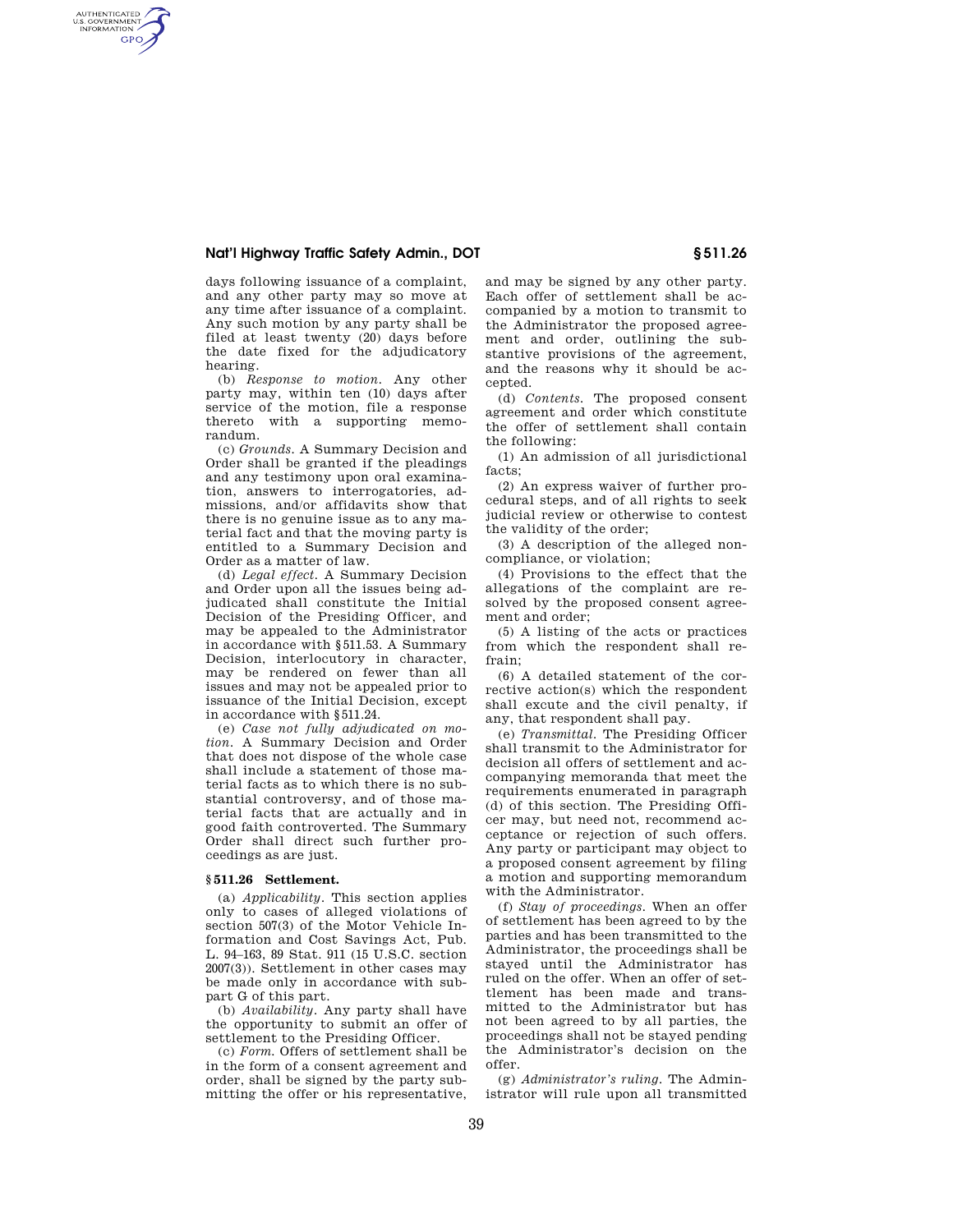## **Nat'l Highway Traffic Safety Admin., DOT § 511.26**

AUTHENTICATED<br>U.S. GOVERNMENT<br>INFORMATION **GPO** 

> days following issuance of a complaint, and any other party may so move at any time after issuance of a complaint. Any such motion by any party shall be filed at least twenty (20) days before the date fixed for the adjudicatory hearing.

> (b) *Response to motion.* Any other party may, within ten (10) days after service of the motion, file a response thereto with a supporting memorandum.

> (c) *Grounds.* A Summary Decision and Order shall be granted if the pleadings and any testimony upon oral examination, answers to interrogatories, admissions, and/or affidavits show that there is no genuine issue as to any material fact and that the moving party is entitled to a Summary Decision and Order as a matter of law.

> (d) *Legal effect.* A Summary Decision and Order upon all the issues being adjudicated shall constitute the Initial Decision of the Presiding Officer, and may be appealed to the Administrator in accordance with §511.53. A Summary Decision, interlocutory in character, may be rendered on fewer than all issues and may not be appealed prior to issuance of the Initial Decision, except in accordance with §511.24.

> (e) *Case not fully adjudicated on motion.* A Summary Decision and Order that does not dispose of the whole case shall include a statement of those material facts as to which there is no substantial controversy, and of those material facts that are actually and in good faith controverted. The Summary Order shall direct such further proceedings as are just.

## **§ 511.26 Settlement.**

(a) *Applicability.* This section applies only to cases of alleged violations of section 507(3) of the Motor Vehicle Information and Cost Savings Act, Pub. L. 94–163, 89 Stat. 911 (15 U.S.C. section 2007(3)). Settlement in other cases may be made only in accordance with subpart G of this part.

(b) *Availability.* Any party shall have the opportunity to submit an offer of settlement to the Presiding Officer.

(c) *Form.* Offers of settlement shall be in the form of a consent agreement and order, shall be signed by the party submitting the offer or his representative, and may be signed by any other party. Each offer of settlement shall be accompanied by a motion to transmit to the Administrator the proposed agreement and order, outlining the substantive provisions of the agreement, and the reasons why it should be accepted.

(d) *Contents.* The proposed consent agreement and order which constitute the offer of settlement shall contain the following:

(1) An admission of all jurisdictional facts;

(2) An express waiver of further procedural steps, and of all rights to seek judicial review or otherwise to contest the validity of the order;

(3) A description of the alleged noncompliance, or violation;

(4) Provisions to the effect that the allegations of the complaint are resolved by the proposed consent agreement and order;

(5) A listing of the acts or practices from which the respondent shall refrain;

(6) A detailed statement of the corrective action(s) which the respondent shall excute and the civil penalty, if any, that respondent shall pay.

(e) *Transmittal.* The Presiding Officer shall transmit to the Administrator for decision all offers of settlement and accompanying memoranda that meet the requirements enumerated in paragraph (d) of this section. The Presiding Officer may, but need not, recommend acceptance or rejection of such offers. Any party or participant may object to a proposed consent agreement by filing a motion and supporting memorandum with the Administrator.

(f) *Stay of proceedings.* When an offer of settlement has been agreed to by the parties and has been transmitted to the Administrator, the proceedings shall be stayed until the Administrator has ruled on the offer. When an offer of settlement has been made and transmitted to the Administrator but has not been agreed to by all parties, the proceedings shall not be stayed pending the Administrator's decision on the offer.

(g) *Administrator's ruling.* The Administrator will rule upon all transmitted